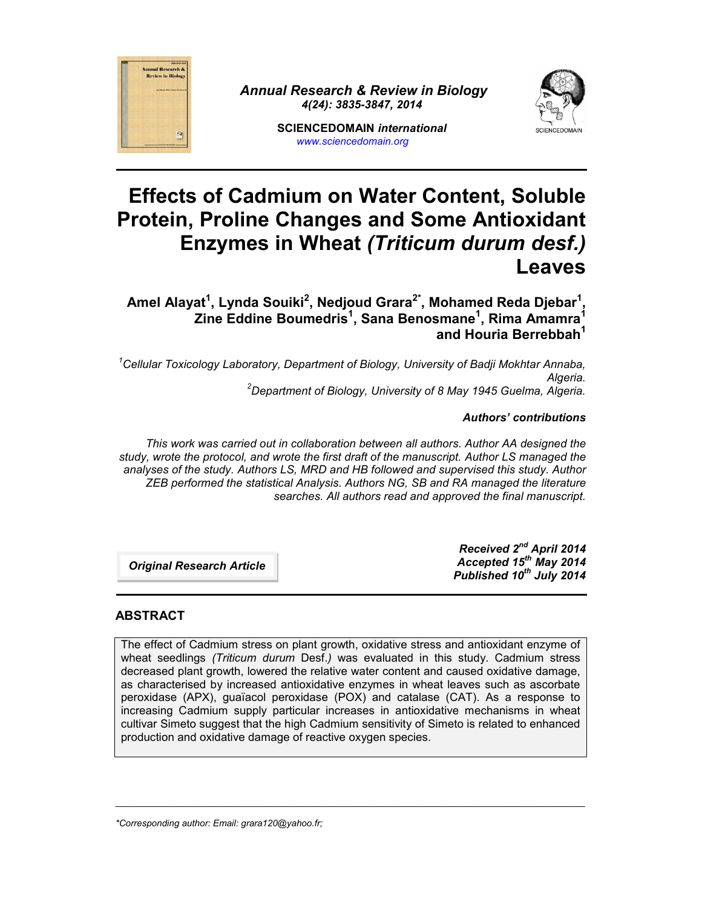

*Annual Research & Review in Biology 4(24): 3835-3847, 2014*



# **Effects of Cadmium on Water Content, Soluble Protein, Proline Changes and Some Antioxidant Enzymes in Wheat** *(Triticum durum desf.)* **Leaves**

**Amel Alayat<sup>1</sup> , Lynda Souiki<sup>2</sup> , Nedjoud Grara2\*, Mohamed Reda Djebar<sup>1</sup> , Zine Eddine Boumedris<sup>1</sup> , Sana Benosmane<sup>1</sup> , Rima Amamra<sup>1</sup> and Houria Berrebbah<sup>1</sup>**

*<sup>1</sup>Cellular Toxicology Laboratory, Department of Biology, University of Badji Mokhtar Annaba, Algeria. <sup>2</sup>Department of Biology, University of 8 May 1945 Guelma, Algeria.*

## *Authors' contributions*

*This work was carried out in collaboration between all authors. Author AA designed the study, wrote the protocol, and wrote the first draft of the manuscript. Author LS managed the analyses of the study. Authors LS, MRD and HB followed and supervised this study. Author ZEB performed the statistical Analysis. Authors NG, SB and RA managed the literature searches. All authors read and approved the final manuscript.*

*Original Research Article*

*Received 2 nd April 2014 Accepted 15th May 2014 Published 10th July 2014*

## **ABSTRACT**

The effect of Cadmium stress on plant growth, oxidative stress and antioxidant enzyme of wheat seedlings *(Triticum durum* Desf.*)* was evaluated in this study. Cadmium stress decreased plant growth, lowered the relative water content and caused oxidative damage, as characterised by increased antioxidative enzymes in wheat leaves such as ascorbate peroxidase (APX), guaїacol peroxidase (POX) and catalase (CAT). As a response to increasing Cadmium supply particular increases in antioxidative mechanisms in wheat cultivar Simeto suggest that the high Cadmium sensitivity of Simeto is related to enhanced production and oxidative damage of reactive oxygen species.

\_\_\_\_\_\_\_\_\_\_\_\_\_\_\_\_\_\_\_\_\_\_\_\_\_\_\_\_\_\_\_\_\_\_\_\_\_\_\_\_\_\_\_\_\_\_\_\_\_\_\_\_\_\_\_\_\_\_\_\_\_\_\_\_\_\_\_\_\_\_\_\_\_\_\_\_\_\_\_\_\_\_\_\_\_\_\_\_\_\_\_\_

*\*Corresponding author: Email: grara120@yahoo.fr;*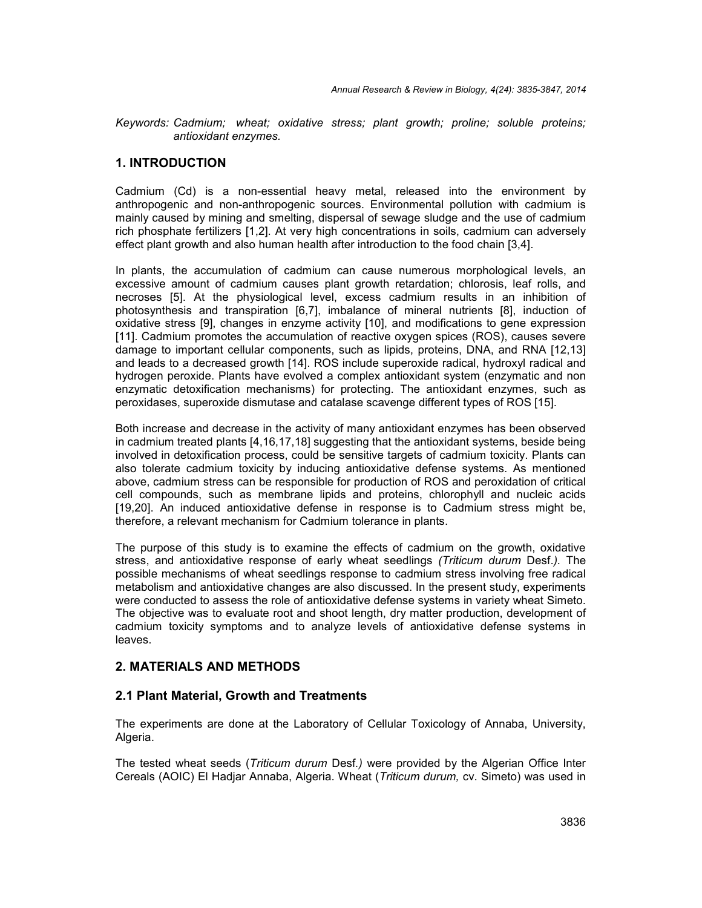*Keywords: Cadmium; wheat; oxidative stress; plant growth; proline; soluble proteins; antioxidant enzymes.*

## **1. INTRODUCTION**

Cadmium (Cd) is a non-essential heavy metal, released into the environment by anthropogenic and non-anthropogenic sources. Environmental pollution with cadmium is mainly caused by mining and smelting, dispersal of sewage sludge and the use of cadmium rich phosphate fertilizers [1,2]. At very high concentrations in soils, cadmium can adversely effect plant growth and also human health after introduction to the food chain [3,4].

In plants, the accumulation of cadmium can cause numerous morphological levels, an excessive amount of cadmium causes plant growth retardation; chlorosis, leaf rolls, and necroses [5]. At the physiological level, excess cadmium results in an inhibition of photosynthesis and transpiration [6,7], imbalance of mineral nutrients [8], induction of oxidative stress [9], changes in enzyme activity [10], and modifications to gene expression [11]. Cadmium promotes the accumulation of reactive oxygen spices (ROS), causes severe damage to important cellular components, such as lipids, proteins, DNA, and RNA [12,13] and leads to a decreased growth [14]. ROS include superoxide radical, hydroxyl radical and hydrogen peroxide. Plants have evolved a complex antioxidant system (enzymatic and non enzymatic detoxification mechanisms) for protecting. The antioxidant enzymes, such as peroxidases, superoxide dismutase and catalase scavenge different types of ROS [15].

Both increase and decrease in the activity of many antioxidant enzymes has been observed in cadmium treated plants [4,16,17,18] suggesting that the antioxidant systems, beside being involved in detoxification process, could be sensitive targets of cadmium toxicity. Plants can also tolerate cadmium toxicity by inducing antioxidative defense systems. As mentioned above, cadmium stress can be responsible for production of ROS and peroxidation of critical cell compounds, such as membrane lipids and proteins, chlorophyll and nucleic acids [19,20]. An induced antioxidative defense in response is to Cadmium stress might be, therefore, a relevant mechanism for Cadmium tolerance in plants.

The purpose of this study is to examine the effects of cadmium on the growth, oxidative stress, and antioxidative response of early wheat seedlings *(Triticum durum* Desf.*).* The possible mechanisms of wheat seedlings response to cadmium stress involving free radical metabolism and antioxidative changes are also discussed. In the present study, experiments were conducted to assess the role of antioxidative defense systems in variety wheat Simeto. The objective was to evaluate root and shoot length, dry matter production, development of cadmium toxicity symptoms and to analyze levels of antioxidative defense systems in leaves.

## **2. MATERIALS AND METHODS**

#### **2.1 Plant Material, Growth and Treatments**

The experiments are done at the Laboratory of Cellular Toxicology of Annaba, University, Algeria.

The tested wheat seeds (*Triticum durum* Desf*.)* were provided by the Algerian Office Inter Cereals (AOIC) El Hadjar Annaba, Algeria. Wheat (*Triticum durum,* cv. Simeto) was used in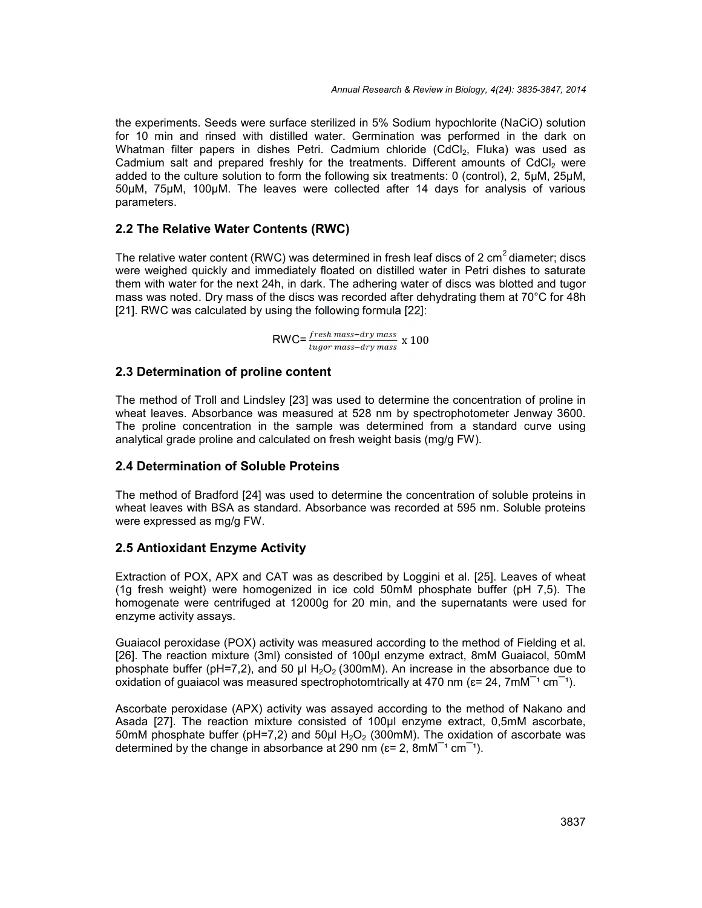the experiments. Seeds were surface sterilized in 5% Sodium hypochlorite (NaCiO) solution for 10 min and rinsed with distilled water. Germination was performed in the dark on Whatman filter papers in dishes Petri. Cadmium chloride (CdCl<sub>2</sub>, Fluka) was used as Cadmium salt and prepared freshly for the treatments. Different amounts of  $CdCl<sub>2</sub>$  were added to the culture solution to form the following six treatments: 0 (control), 2, 5µM, 25µM, 50µM, 75µM, 100µM. The leaves were collected after 14 days for analysis of various parameters.

## **2.2 The Relative Water Contents (RWC)**

The relative water content (RWC) was determined in fresh leaf discs of 2 cm<sup>2</sup> diameter; discs were weighed quickly and immediately floated on distilled water in Petri dishes to saturate them with water for the next 24h, in dark. The adhering water of discs was blotted and tugor mass was noted. Dry mass of the discs was recorded after dehydrating them at 70°C for 48h [21]. RWC was calculated by using the following formula [22]:

 $\textsf{RWC}\texttt{=} \frac{\textit{fresh mass} - \textit{dry mass}}{\textit{tugor mass} - \textit{dry mass}} \times 100$ 

## **2.3 Determination of proline content**

The method of Troll and Lindsley [23] was used to determine the concentration of proline in wheat leaves. Absorbance was measured at 528 nm by spectrophotometer Jenway 3600. The proline concentration in the sample was determined from a standard curve using analytical grade proline and calculated on fresh weight basis (mg/g FW).

#### **2.4 Determination of Soluble Proteins**

The method of Bradford [24] was used to determine the concentration of soluble proteins in wheat leaves with BSA as standard. Absorbance was recorded at 595 nm. Soluble proteins were expressed as mg/g FW.

## **2.5 Antioxidant Enzyme Activity**

Extraction of POX, APX and CAT was as described by Loggini et al. [25]. Leaves of wheat (1g fresh weight) were homogenized in ice cold 50mM phosphate buffer (pH 7,5). The homogenate were centrifuged at 12000g for 20 min, and the supernatants were used for enzyme activity assays.

Guaiacol peroxidase (POX) activity was measured according to the method of Fielding et al. [26]. The reaction mixture (3ml) consisted of 100µl enzyme extract, 8mM Guaiacol, 50mM phosphate buffer (pH=7,2), and 50 µl  $H_2O_2$  (300mM). An increase in the absorbance due to oxidation of quaiacol was measured spectrophotomtrically at 470 nm ( $\varepsilon$ = 24, 7mM<sup>-1</sup> cm<sup>-1</sup>).

Ascorbate peroxidase (APX) activity was assayed according to the method of Nakano and Asada [27]. The reaction mixture consisted of 100µl enzyme extract, 0,5mM ascorbate, 50mM phosphate buffer ( $pH=7,2$ ) and 50µl H<sub>2</sub>O<sub>2</sub> (300mM). The oxidation of ascorbate was determined by the change in absorbance at 290 nm ( $\varepsilon$ = 2, 8mM<sup> $-1$ </sup> cm<sup> $-1$ </sup>).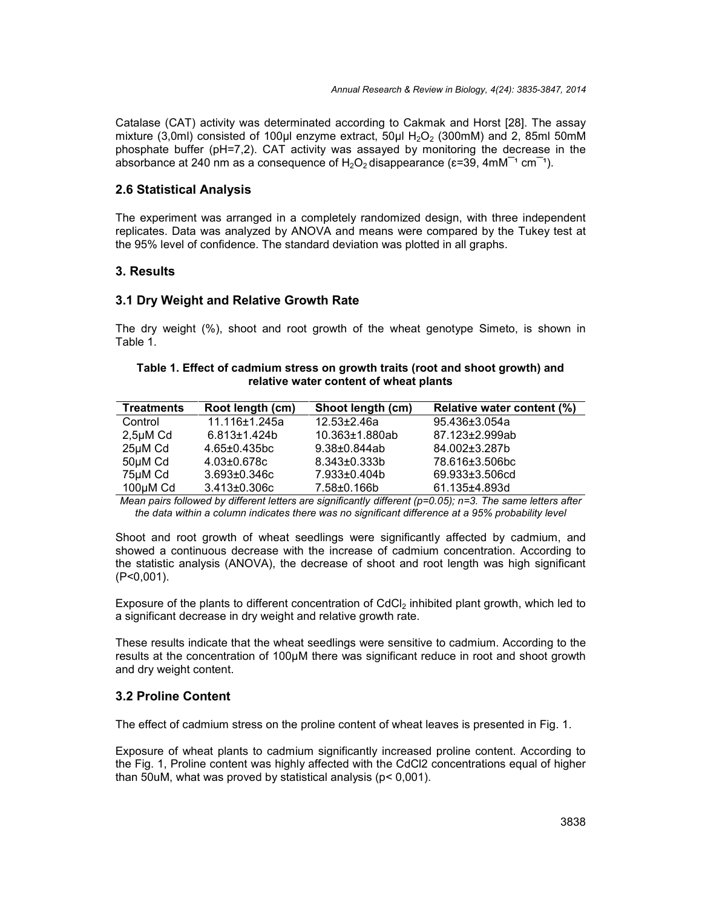Catalase (CAT) activity was determinated according to Cakmak and Horst [28]. The assay mixture (3,0ml) consisted of 100µl enzyme extract,  $50\mu$ l H<sub>2</sub>O<sub>2</sub> (300mM) and 2, 85ml 50mM phosphate buffer (pH=7,2). CAT activity was assayed by monitoring the decrease in the absorbance at 240 nm as a consequence of  $H_2O_2$  disappearance ( $\varepsilon$ =39, 4mM<sup>-1</sup> cm<sup>-1</sup>).

#### **2.6 Statistical Analysis**

The experiment was arranged in a completely randomized design, with three independent replicates. Data was analyzed by ANOVA and means were compared by the Tukey test at the 95% level of confidence. The standard deviation was plotted in all graphs.

## **3. Results**

## **3.1 Dry Weight and Relative Growth Rate**

The dry weight (%), shoot and root growth of the wheat genotype Simeto, is shown in Table 1.

#### **Table 1. Effect of cadmium stress on growth traits (root and shoot growth) and relative water content of wheat plants**

| <b>Treatments</b> | Root length (cm)    | Shoot length (cm)   | Relative water content (%) |
|-------------------|---------------------|---------------------|----------------------------|
| Control           | 11.116±1.245a       | $12.53 \pm 2.46a$   | 95.436±3.054a              |
| $2,5\mu M$ Cd     | $6.813 \pm 1.424 b$ | 10.363±1.880ab      | 87.123±2.999ab             |
| 25µM Cd           | $4.65 \pm 0.435$ bc | $9.38 \pm 0.844$ ab | 84.002±3.287b              |
| 50µM Cd           | $4.03 \pm 0.678c$   | $8.343 \pm 0.333 b$ | 78.616±3.506bc             |
| 75µM Cd           | $3.693 \pm 0.346c$  | 7.933±0.404b        | 69.933±3.506cd             |
| $100\mu M$ Cd     | $3.413 \pm 0.306c$  | 7.58±0.166b         | 61.135±4.893d              |

*Mean pairs followed by different letters are significantly different (p=0.05); n=3. The same letters after the data within a column indicates there was no significant difference at a 95% probability level*

Shoot and root growth of wheat seedlings were significantly affected by cadmium, and showed a continuous decrease with the increase of cadmium concentration. According to the statistic analysis (ANOVA), the decrease of shoot and root length was high significant (P˂0,001).

Exposure of the plants to different concentration of  $CdCl<sub>2</sub>$  inhibited plant growth, which led to a significant decrease in dry weight and relative growth rate.

These results indicate that the wheat seedlings were sensitive to cadmium. According to the results at the concentration of 100µM there was significant reduce in root and shoot growth and dry weight content.

## **3.2 Proline Content**

The effect of cadmium stress on the proline content of wheat leaves is presented in Fig. 1.

Exposure of wheat plants to cadmium significantly increased proline content. According to the Fig. 1, Proline content was highly affected with the CdCl2 concentrations equal of higher than 50uM, what was proved by statistical analysis (p˂ 0,001).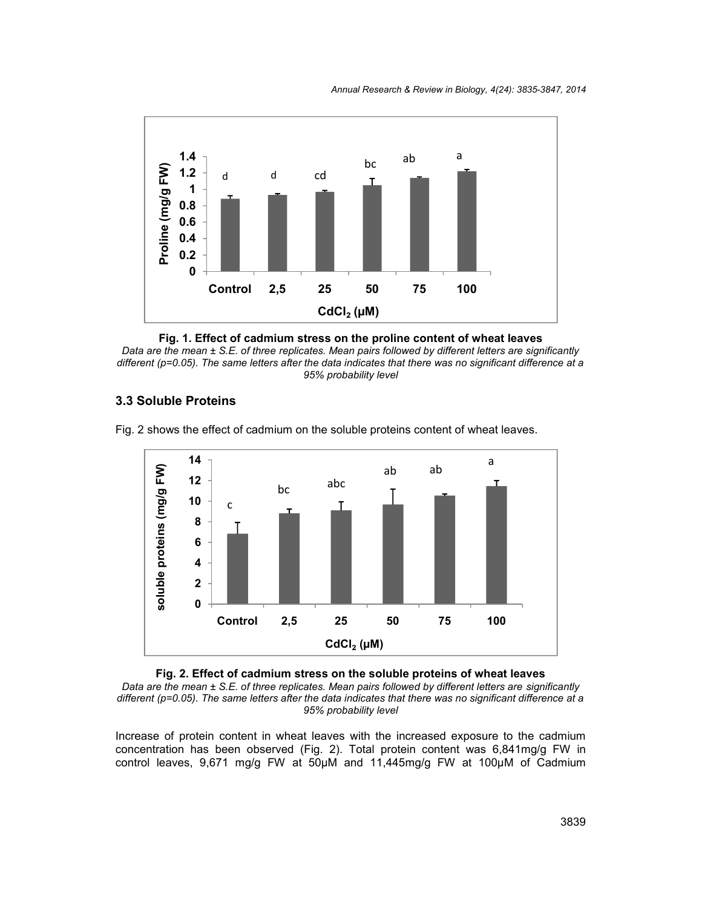*Annual Research & Review in Biology, 4(24): 3835-3847, 2014*



**Fig. 1. Effect of cadmium stress on the proline content of wheat leaves** *Data are the mean ± S.E. of three replicates. Mean pairs followed by different letters are significantly different (p=0.05). The same letters after the data indicates that there was no significant difference at a 95% probability level*

#### **3.3 Soluble Proteins**

Fig. 2 shows the effect of cadmium on the soluble proteins content of wheat leaves.





*Data are the mean ± S.E. of three replicates. Mean pairs followed by different letters are significantly different (p=0.05). The same letters after the data indicates that there was no significant difference at a 95% probability level*

Increase of protein content in wheat leaves with the increased exposure to the cadmium concentration has been observed (Fig. 2). Total protein content was 6,841mg/g FW in control leaves, 9,671 mg/g FW at 50µM and 11,445mg/g FW at 100µM of Cadmium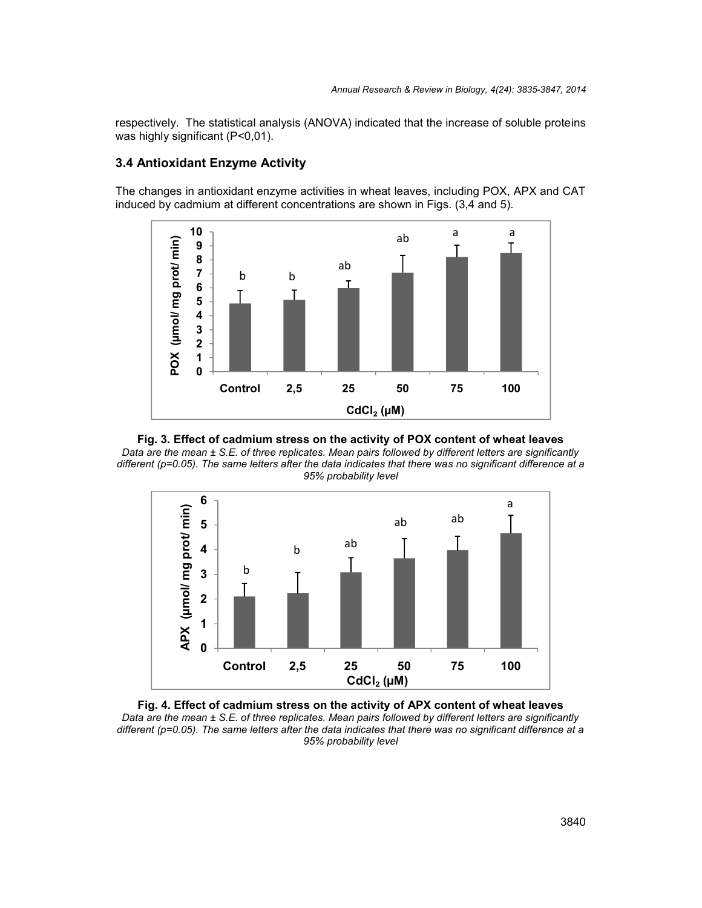respectively. The statistical analysis (ANOVA) indicated that the increase of soluble proteins was highly significant (P˂0,01).

## **3.4 Antioxidant Enzyme Activity**

The changes in antioxidant enzyme activities in wheat leaves, including POX, APX and CAT induced by cadmium at different concentrations are shown in Figs. (3,4 and 5).



**Fig. 3. Effect of cadmium stress on the activity of POX content of wheat leaves** *Data are the mean ± S.E. of three replicates. Mean pairs followed by different letters are significantly different (p=0.05). The same letters after the data indicates that there was no significant difference at a 95% probability level*



**Fig. 4. Effect of cadmium stress on the activity of APX content of wheat leaves** *Data are the mean ± S.E. of three replicates. Mean pairs followed by different letters are significantly different (p=0.05). The same letters after the data indicates that there was no significant difference at a 95% probability level*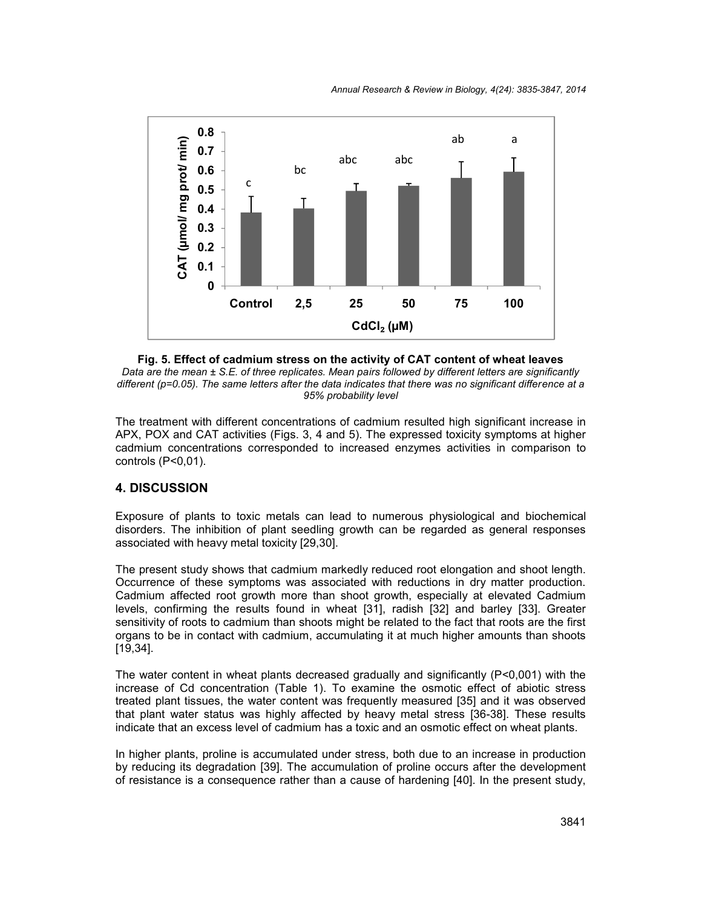

**Fig. 5. Effect of cadmium stress on the activity of CAT content of wheat leaves** *Data are the mean ± S.E. of three replicates. Mean pairs followed by different letters are significantly different (p=0.05). The same letters after the data indicates that there was no significant difference at a 95% probability level*

The treatment with different concentrations of cadmium resulted high significant increase in APX, POX and CAT activities (Figs. 3, 4 and 5). The expressed toxicity symptoms at higher cadmium concentrations corresponded to increased enzymes activities in comparison to controls (P˂0,01).

# **4. DISCUSSION**

Exposure of plants to toxic metals can lead to numerous physiological and biochemical disorders. The inhibition of plant seedling growth can be regarded as general responses associated with heavy metal toxicity [29,30].

The present study shows that cadmium markedly reduced root elongation and shoot length. Occurrence of these symptoms was associated with reductions in dry matter production. Cadmium affected root growth more than shoot growth, especially at elevated Cadmium levels, confirming the results found in wheat [31], radish [32] and barley [33]. Greater sensitivity of roots to cadmium than shoots might be related to the fact that roots are the first organs to be in contact with cadmium, accumulating it at much higher amounts than shoots [19,34].

The water content in wheat plants decreased gradually and significantly  $(P<0,001)$  with the increase of Cd concentration (Table 1). To examine the osmotic effect of abiotic stress treated plant tissues, the water content was frequently measured [35] and it was observed that plant water status was highly affected by heavy metal stress [36-38]. These results indicate that an excess level of cadmium has a toxic and an osmotic effect on wheat plants.

In higher plants, proline is accumulated under stress, both due to an increase in production by reducing its degradation [39]. The accumulation of proline occurs after the development of resistance is a consequence rather than a cause of hardening [40]. In the present study,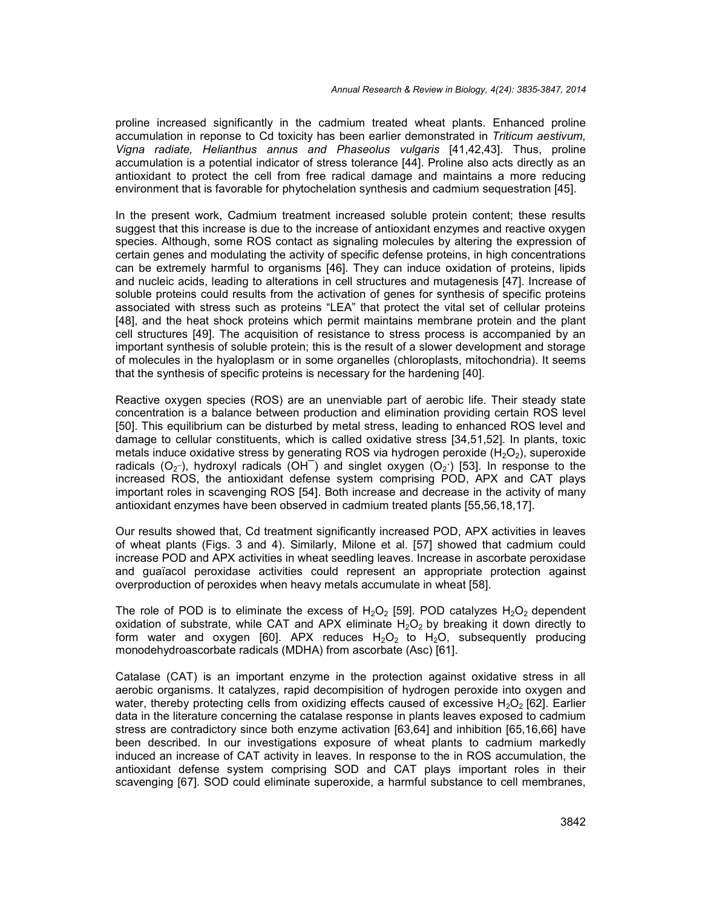proline increased significantly in the cadmium treated wheat plants. Enhanced proline accumulation in reponse to Cd toxicity has been earlier demonstrated in *Triticum aestivum, Vigna radiate, Helianthus annus and Phaseolus vulgaris* [41,42,43]. Thus, proline accumulation is a potential indicator of stress tolerance [44]. Proline also acts directly as an antioxidant to protect the cell from free radical damage and maintains a more reducing environment that is favorable for phytochelation synthesis and cadmium sequestration [45].

In the present work, Cadmium treatment increased soluble protein content; these results suggest that this increase is due to the increase of antioxidant enzymes and reactive oxygen species. Although, some ROS contact as signaling molecules by altering the expression of certain genes and modulating the activity of specific defense proteins, in high concentrations can be extremely harmful to organisms [46]. They can induce oxidation of proteins, lipids and nucleic acids, leading to alterations in cell structures and mutagenesis [47]. Increase of soluble proteins could results from the activation of genes for synthesis of specific proteins associated with stress such as proteins "LEA" that protect the vital set of cellular proteins [48], and the heat shock proteins which permit maintains membrane protein and the plant cell structures [49]. The acquisition of resistance to stress process is accompanied by an important synthesis of soluble protein; this is the result of a slower development and storage of molecules in the hyaloplasm or in some organelles (chloroplasts, mitochondria). It seems that the synthesis of specific proteins is necessary for the hardening [40].

Reactive oxygen species (ROS) are an unenviable part of aerobic life. Their steady state concentration is a balance between production and elimination providing certain ROS level [50]. This equilibrium can be disturbed by metal stress, leading to enhanced ROS level and damage to cellular constituents, which is called oxidative stress [34,51,52]. In plants, toxic metals induce oxidative stress by generating ROS via hydrogen peroxide  $(H_2O_2)$ , superoxide radicals ( $O_2$ ), hydroxyl radicals (OH $\overline{\phantom{a}}$ ) and singlet oxygen ( $O_2$ ) [53]. In response to the increased ROS, the antioxidant defense system comprising POD, APX and CAT plays important roles in scavenging ROS [54]. Both increase and decrease in the activity of many antioxidant enzymes have been observed in cadmium treated plants [55,56,18,17].

Our results showed that, Cd treatment significantly increased POD, APX activities in leaves of wheat plants (Figs. 3 and 4). Similarly, Milone et al. [57] showed that cadmium could increase POD and APX activities in wheat seedling leaves. Increase in ascorbate peroxidase and guaїacol peroxidase activities could represent an appropriate protection against overproduction of peroxides when heavy metals accumulate in wheat [58].

The role of POD is to eliminate the excess of  $H_2O_2$  [59]. POD catalyzes  $H_2O_2$  dependent oxidation of substrate, while CAT and APX eliminate  $H_2O_2$  by breaking it down directly to form water and oxygen [60]. APX reduces  $H_2O_2$  to  $H_2O$ , subsequently producing monodehydroascorbate radicals (MDHA) from ascorbate (Asc) [61].

Catalase (CAT) is an important enzyme in the protection against oxidative stress in all aerobic organisms. It catalyzes, rapid decompisition of hydrogen peroxide into oxygen and water, thereby protecting cells from oxidizing effects caused of excessive  $H_2O_2$  [62]. Earlier data in the literature concerning the catalase response in plants leaves exposed to cadmium stress are contradictory since both enzyme activation [63,64] and inhibition [65,16,66] have been described. In our investigations exposure of wheat plants to cadmium markedly induced an increase of CAT activity in leaves. In response to the in ROS accumulation, the antioxidant defense system comprising SOD and CAT plays important roles in their scavenging [67]. SOD could eliminate superoxide, a harmful substance to cell membranes,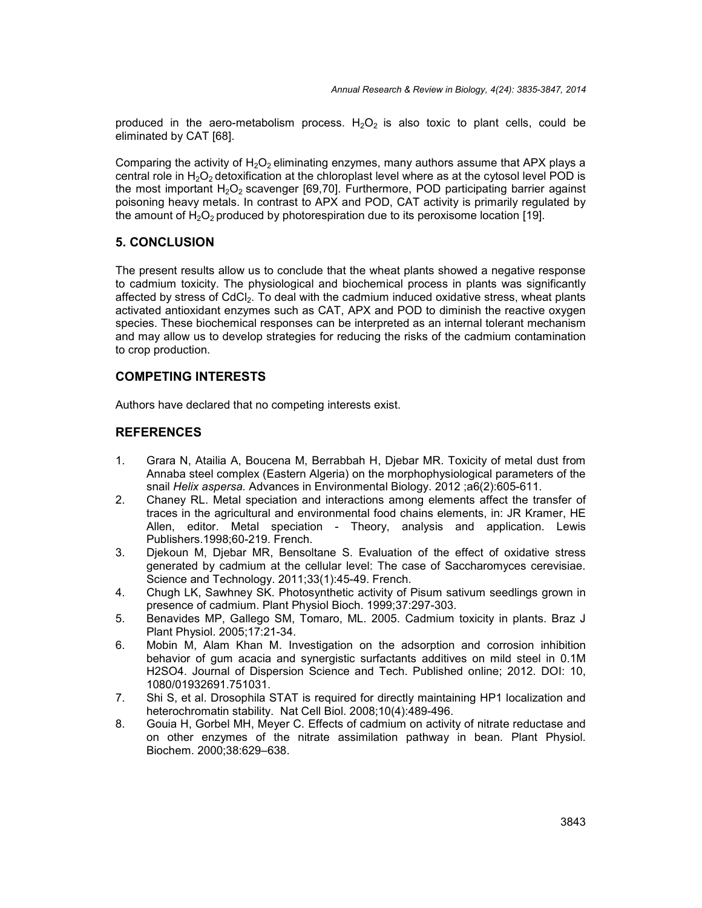produced in the aero-metabolism process.  $H_2O_2$  is also toxic to plant cells, could be eliminated by CAT [68].

Comparing the activity of  $H_2O_2$  eliminating enzymes, many authors assume that APX plays a central role in  $H_2O_2$  detoxification at the chloroplast level where as at the cytosol level POD is the most important  $H_2O_2$  scavenger [69,70]. Furthermore, POD participating barrier against poisoning heavy metals. In contrast to APX and POD, CAT activity is primarily regulated by the amount of  $H_2O_2$  produced by photorespiration due to its peroxisome location [19].

# **5. CONCLUSION**

The present results allow us to conclude that the wheat plants showed a negative response to cadmium toxicity. The physiological and biochemical process in plants was significantly affected by stress of  $CdCl<sub>2</sub>$ . To deal with the cadmium induced oxidative stress, wheat plants activated antioxidant enzymes such as CAT, APX and POD to diminish the reactive oxygen species. These biochemical responses can be interpreted as an internal tolerant mechanism and may allow us to develop strategies for reducing the risks of the cadmium contamination to crop production.

# **COMPETING INTERESTS**

Authors have declared that no competing interests exist.

# **REFERENCES**

- 1. Grara N, Atailia A, Boucena M, Berrabbah H, Djebar MR. Toxicity of metal dust from Annaba steel complex (Eastern Algeria) on the morphophysiological parameters of the snail *Helix aspersa.* Advances in Environmental Biology. 2012 ;a6(2):605-611.
- 2. Chaney RL. Metal speciation and interactions among elements affect the transfer of traces in the agricultural and environmental food chains elements, in: JR Kramer, HE Allen, editor. Metal speciation - Theory, analysis and application. Lewis Publishers.1998;60-219. French.
- 3. Djekoun M, Djebar MR, Bensoltane S. Evaluation of the effect of oxidative stress generated by cadmium at the cellular level: The case of Saccharomyces cerevisiae. Science and Technology. 2011;33(1):45-49. French.
- 4. Chugh LK, Sawhney SK. Photosynthetic activity of Pisum sativum seedlings grown in presence of cadmium. Plant Physiol Bioch. 1999;37:297-303.
- 5. Benavides MP, Gallego SM, Tomaro, ML. 2005. Cadmium toxicity in plants. Braz J Plant Physiol. 2005;17:21-34.
- 6. Mobin M, Alam Khan M. Investigation on the adsorption and corrosion inhibition behavior of gum acacia and synergistic surfactants additives on mild steel in 0.1M H2SO4. Journal of Dispersion Science and Tech. Published online; 2012. DOI: 10, 1080/01932691.751031.
- 7. Shi S, et al. Drosophila STAT is required for directly maintaining HP1 localization and heterochromatin stability. Nat Cell Biol. 2008;10(4):489-496.
- 8. Gouia H, Gorbel MH, Meyer C. Effects of cadmium on activity of nitrate reductase and on other enzymes of the nitrate assimilation pathway in bean. Plant Physiol. Biochem. 2000;38:629–638.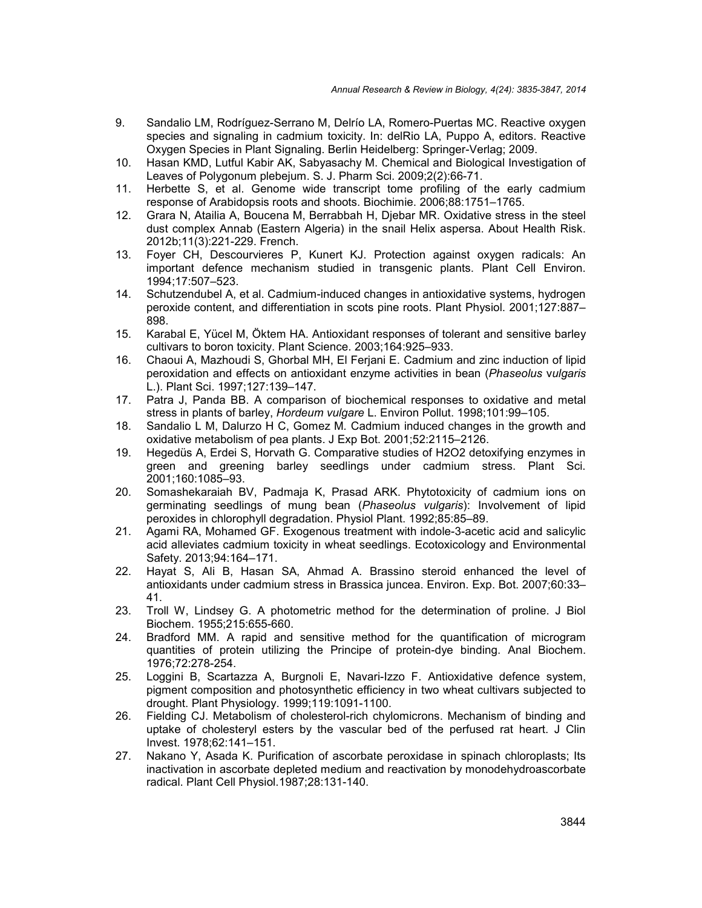- 9. Sandalio LM, Rodríguez-Serrano M, Delrío LA, Romero-Puertas MC. Reactive oxygen species and signaling in cadmium toxicity. In: delRio LA, Puppo A, editors. Reactive Oxygen Species in Plant Signaling. Berlin Heidelberg: Springer-Verlag; 2009.
- 10. Hasan KMD, Lutful Kabir AK, Sabyasachy M. Chemical and Biological Investigation of Leaves of Polygonum plebejum. S. J. Pharm Sci. 2009;2(2):66-71.
- 11. Herbette S, et al. Genome wide transcript tome profiling of the early cadmium response of Arabidopsis roots and shoots. Biochimie. 2006;88:1751–1765.
- 12. Grara N, Atailia A, Boucena M, Berrabbah H, Djebar MR. Oxidative stress in the steel dust complex Annab (Eastern Algeria) in the snail Helix aspersa. About Health Risk. 2012b;11(3):221-229. French.
- 13. Foyer CH, Descourvieres P, Kunert KJ. Protection against oxygen radicals: An important defence mechanism studied in transgenic plants. Plant Cell Environ. 1994;17:507–523.
- 14. Schutzendubel A, et al. Cadmium-induced changes in antioxidative systems, hydrogen peroxide content, and differentiation in scots pine roots. Plant Physiol. 2001;127:887– 898.
- 15. Karabal E, Yücel M, Öktem HA. Antioxidant responses of tolerant and sensitive barley cultivars to boron toxicity. Plant Science. 2003;164:925–933.
- 16. Chaoui A, Mazhoudi S, Ghorbal MH, El Ferjani E. Cadmium and zinc induction of lipid peroxidation and effects on antioxidant enzyme activities in bean (*Phaseolus* v*ulgaris* L.). Plant Sci. 1997;127:139–147.
- 17. Patra J, Panda BB. A comparison of biochemical responses to oxidative and metal stress in plants of barley, *Hordeum vulgare* L. Environ Pollut. 1998;101:99–105.
- 18. Sandalio L M, Dalurzo H C, Gomez M*.* Cadmium induced changes in the growth and oxidative metabolism of pea plants. J Exp Bot. 2001;52:2115–2126.
- 19. Hegedüs A, Erdei S, Horvath G. Comparative studies of H2O2 detoxifying enzymes in green and greening barley seedlings under cadmium stress. Plant Sci. 2001;160:1085–93.
- 20. Somashekaraiah BV, Padmaja K, Prasad ARK. Phytotoxicity of cadmium ions on germinating seedlings of mung bean (*Phaseolus vulgaris*): Involvement of lipid peroxides in chlorophyll degradation. Physiol Plant. 1992;85:85–89.
- 21. Agami RA, Mohamed GF. Exogenous treatment with indole-3-acetic acid and salicylic acid alleviates cadmium toxicity in wheat seedlings. Ecotoxicology and Environmental Safety. 2013;94:164–171.
- 22. Hayat S, Ali B, Hasan SA, Ahmad A. Brassino steroid enhanced the level of antioxidants under cadmium stress in Brassica juncea. Environ. Exp. Bot. 2007;60:33– 41.
- 23. Troll W, Lindsey G. A photometric method for the determination of proline. J Biol Biochem. 1955;215:655-660.
- 24. Bradford MM. A rapid and sensitive method for the quantification of microgram quantities of protein utilizing the Principe of protein-dye binding. Anal Biochem. 1976;72:278-254.
- 25. Loggini B, Scartazza A, Burgnoli E, Navari-Izzo F. Antioxidative defence system, pigment composition and photosynthetic efficiency in two wheat cultivars subjected to drought. Plant Physiology. 1999;119:1091-1100.
- 26. Fielding CJ. Metabolism of cholesterol-rich chylomicrons. Mechanism of binding and uptake of cholesteryl esters by the vascular bed of the perfused rat heart. J Clin Invest. 1978;62:141–151.
- 27. Nakano Y, Asada K. Purification of ascorbate peroxidase in spinach chloroplasts; Its inactivation in ascorbate depleted medium and reactivation by monodehydroascorbate radical. Plant Cell Physiol.1987;28:131-140.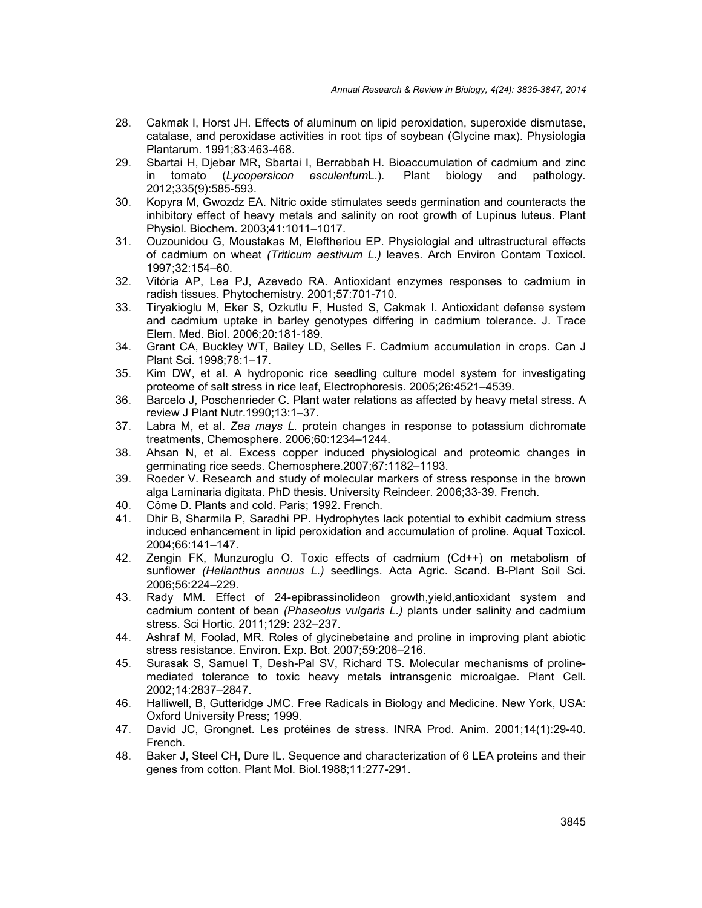- 28. Cakmak I, Horst JH. Effects of aluminum on lipid peroxidation, superoxide dismutase, catalase, and peroxidase activities in root tips of soybean (Glycine max). Physiologia Plantarum. 1991;83:463-468.
- 29. Sbartai H, Djebar MR, Sbartai I, Berrabbah H. Bioaccumulation of cadmium and zinc in tomato (*Lycopersicon esculentum*L.). Plant biology and pathology. 2012;335(9):585-593.
- 30. Kopyra M, Gwozdz EA. Nitric oxide stimulates seeds germination and counteracts the inhibitory effect of heavy metals and salinity on root growth of Lupinus luteus. Plant Physiol. Biochem. 2003;41:1011–1017.
- 31. Ouzounidou G, Moustakas M, Eleftheriou EP. Physiologial and ultrastructural effects of cadmium on wheat *(Triticum aestivum L.)* leaves. Arch Environ Contam Toxicol. 1997;32:154–60.
- 32. Vitória AP, Lea PJ, Azevedo RA. Antioxidant enzymes responses to cadmium in radish tissues. Phytochemistry. 2001;57:701-710.
- 33. Tiryakioglu M, Eker S, Ozkutlu F, Husted S, Cakmak I. Antioxidant defense system and cadmium uptake in barley genotypes differing in cadmium tolerance. J. Trace Elem. Med. Biol. 2006;20:181-189.
- 34. Grant CA, Buckley WT, Bailey LD, Selles F. Cadmium accumulation in crops. Can J Plant Sci. 1998;78:1–17.
- 35. Kim DW, et al. A hydroponic rice seedling culture model system for investigating proteome of salt stress in rice leaf, Electrophoresis. 2005;26:4521–4539.
- 36. Barcelo J, Poschenrieder C. Plant water relations as affected by heavy metal stress. A review J Plant Nutr.1990;13:1–37.
- 37. Labra M, et al. *Zea mays L.* protein changes in response to potassium dichromate treatments, Chemosphere. 2006;60:1234–1244.
- 38. Ahsan N, et al. Excess copper induced physiological and proteomic changes in germinating rice seeds. Chemosphere.2007;67:1182–1193.
- 39. Roeder V. Research and study of molecular markers of stress response in the brown alga Laminaria digitata. PhD thesis. University Reindeer. 2006;33-39. French.
- 40. Côme D. Plants and cold. Paris; 1992. French.
- 41. Dhir B, Sharmila P, Saradhi PP. Hydrophytes lack potential to exhibit cadmium stress induced enhancement in lipid peroxidation and accumulation of proline. Aquat Toxicol. 2004;66:141–147.
- 42. Zengin FK, Munzuroglu O. Toxic effects of cadmium (Cd++) on metabolism of sunflower *(Helianthus annuus L.)* seedlings. Acta Agric. Scand. B-Plant Soil Sci. 2006;56:224–229.
- 43. Rady MM. Effect of 24-epibrassinolideon growth,yield,antioxidant system and cadmium content of bean *(Phaseolus vulgaris L.)* plants under salinity and cadmium stress. Sci Hortic. 2011;129: 232–237.
- 44. Ashraf M, Foolad, MR. Roles of glycinebetaine and proline in improving plant abiotic stress resistance. Environ. Exp. Bot. 2007;59:206–216.
- 45. Surasak S, Samuel T, Desh-Pal SV, Richard TS. Molecular mechanisms of proline mediated tolerance to toxic heavy metals intransgenic microalgae. Plant Cell. 2002;14:2837–2847.
- 46. Halliwell, B, Gutteridge JMC. Free Radicals in Biology and Medicine. New York, USA: Oxford University Press; 1999.
- 47. David JC, Grongnet. Les protéines de stress. INRA Prod. Anim. 2001;14(1):29-40. French.
- 48. Baker J, Steel CH, Dure IL. Sequence and characterization of 6 LEA proteins and their genes from cotton. Plant Mol. Biol.1988;11:277-291.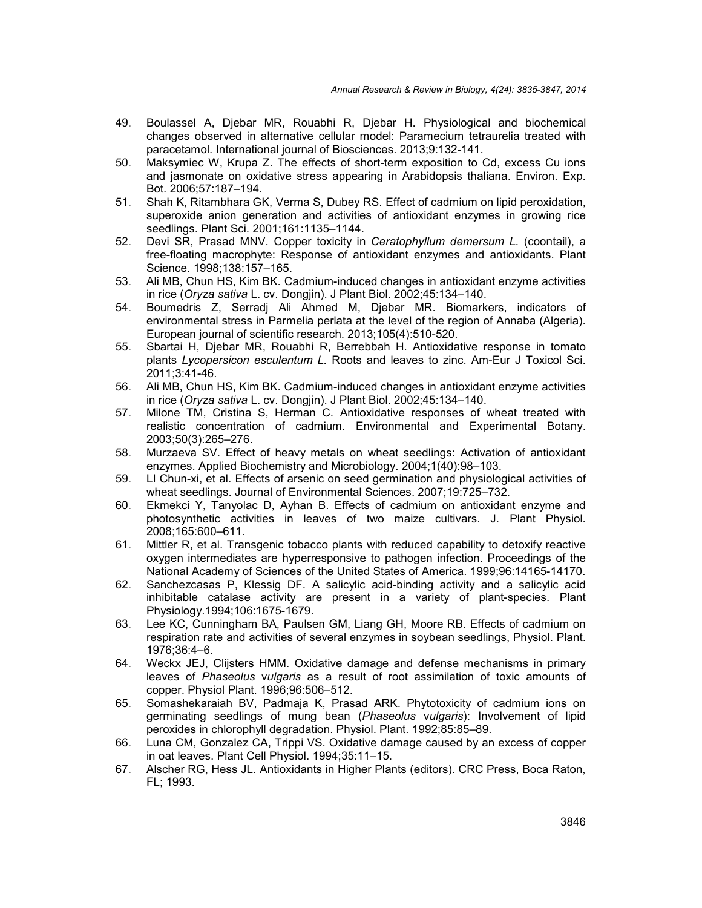- 49. Boulassel A, Djebar MR, Rouabhi R, Djebar H. Physiological and biochemical changes observed in alternative cellular model: Paramecium tetraurelia treated with paracetamol. International journal of Biosciences. 2013;9:132-141.
- 50. Maksymiec W, Krupa Z. The effects of short-term exposition to Cd, excess Cu ions and jasmonate on oxidative stress appearing in Arabidopsis thaliana. Environ. Exp. Bot. 2006;57:187–194.
- 51. Shah K, Ritambhara GK, Verma S, Dubey RS. Effect of cadmium on lipid peroxidation, superoxide anion generation and activities of antioxidant enzymes in growing rice seedlings. Plant Sci. 2001;161:1135–1144.
- 52. Devi SR, Prasad MNV. Copper toxicity in *Ceratophyllum demersum L.* (coontail), a free-floating macrophyte: Response of antioxidant enzymes and antioxidants. Plant Science. 1998;138:157–165.
- 53. Ali MB, Chun HS, Kim BK. Cadmium-induced changes in antioxidant enzyme activities in rice (*Oryza sativa* L. cv. Dongjin). J Plant Biol. 2002;45:134–140.
- 54. Boumedris Z, Serradj Ali Ahmed M, Djebar MR. Biomarkers, indicators of environmental stress in Parmelia perlata at the level of the region of Annaba (Algeria). European journal of scientific research. 2013;105(4):510-520.
- 55. Sbartai H, Djebar MR, Rouabhi R, Berrebbah H. Antioxidative response in tomato plants *Lycopersicon esculentum L.* Roots and leaves to zinc. Am-Eur J Toxicol Sci. 2011;3:41-46.
- 56. Ali MB, Chun HS, Kim BK. Cadmium-induced changes in antioxidant enzyme activities in rice (*Oryza sativa* L. cv. Dongjin). J Plant Biol. 2002;45:134–140.
- 57. Milone TM, Cristina S, Herman C. Antioxidative responses of wheat treated with realistic concentration of cadmium. Environmental and Experimental Botany. 2003;50(3):265–276.
- 58. Murzaeva SV. Effect of heavy metals on wheat seedlings: Activation of antioxidant enzymes. Applied Biochemistry and Microbiology. 2004;1(40):98–103.
- 59. LI Chun-xi, et al. Effects of arsenic on seed germination and physiological activities of wheat seedlings. Journal of Environmental Sciences. 2007;19:725–732.
- 60. Ekmekci Y, Tanyolac D, Ayhan B. Effects of cadmium on antioxidant enzyme and photosynthetic activities in leaves of two maize cultivars. J. Plant Physiol. 2008;165:600–611.
- 61. Mittler R, et al. Transgenic tobacco plants with reduced capability to detoxify reactive oxygen intermediates are hyperresponsive to pathogen infection. Proceedings of the National Academy of Sciences of the United States of America. 1999;96:14165-14170.
- 62. Sanchezcasas P, Klessig DF. A salicylic acid-binding activity and a salicylic acid inhibitable catalase activity are present in a variety of plant-species. Plant Physiology.1994;106:1675-1679.
- 63. Lee KC, Cunningham BA, Paulsen GM, Liang GH, Moore RB. Effects of cadmium on respiration rate and activities of several enzymes in soybean seedlings, Physiol. Plant. 1976;36:4–6.
- 64. Weckx JEJ, Clijsters HMM. Oxidative damage and defense mechanisms in primary leaves of *Phaseolus* v*ulgaris* as a result of root assimilation of toxic amounts of copper. Physiol Plant. 1996;96:506–512.
- 65. Somashekaraiah BV, Padmaja K, Prasad ARK. Phytotoxicity of cadmium ions on germinating seedlings of mung bean (*Phaseolus* v*ulgaris*): Involvement of lipid peroxides in chlorophyll degradation. Physiol. Plant. 1992;85:85–89.
- 66. Luna CM, Gonzalez CA, Trippi VS. Oxidative damage caused by an excess of copper in oat leaves. Plant Cell Physiol. 1994;35:11–15.
- 67. Alscher RG, Hess JL. Antioxidants in Higher Plants (editors). CRC Press, Boca Raton, FL; 1993.